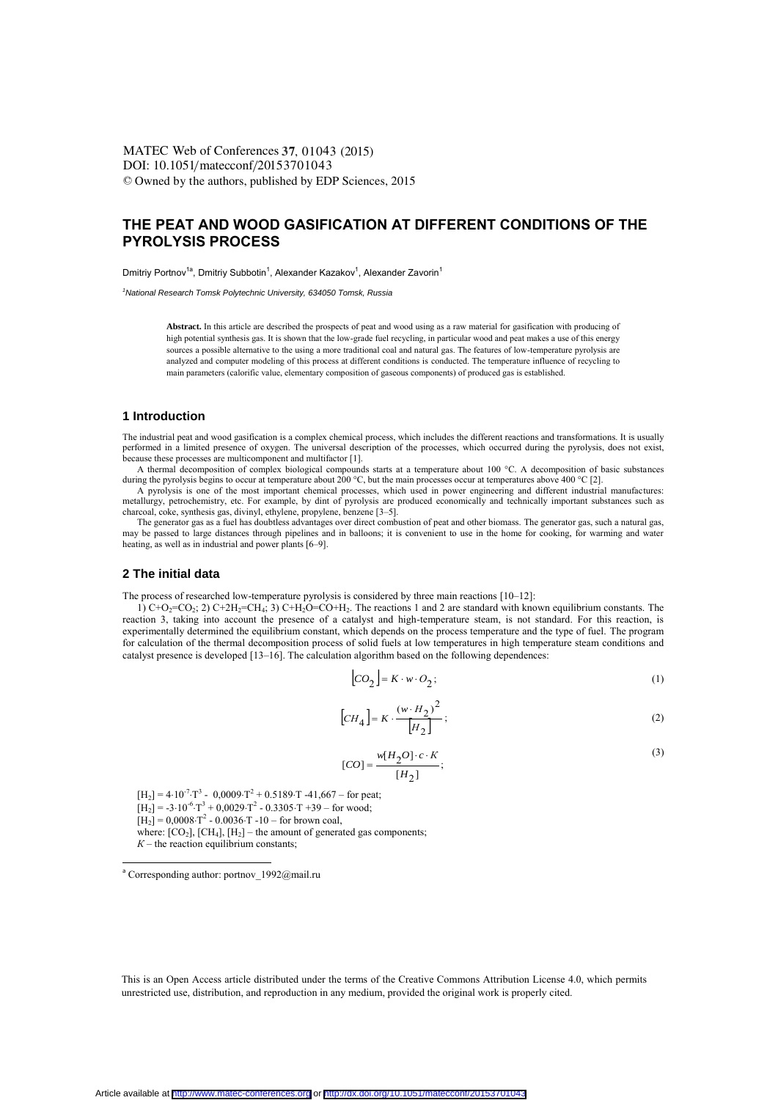# **THE PEAT AND WOOD GASIFICATION AT DIFFERENT CONDITIONS OF THE PYROLYSIS PROCESS**

Dmitriy Portnov<sup>1a</sup>, Dmitriy Subbotin<sup>1</sup>, Alexander Kazakov<sup>1</sup>, Alexander Zavorin<sup>1</sup>

*<sup>1</sup>National Research Tomsk Polytechnic University, 634050 Tomsk, Russia* 

**Abstract.** In this article are described the prospects of peat and wood using as a raw material for gasification with producing of high potential synthesis gas. It is shown that the low-grade fuel recycling, in particular wood and peat makes a use of this energy sources a possible alternative to the using a more traditional coal and natural gas. The features of low-temperature pyrolysis are analyzed and computer modeling of this process at different conditions is conducted. The temperature influence of recycling to main parameters (calorific value, elementary composition of gaseous components) of produced gas is established.

## **1 Introduction**

The industrial peat and wood gasification is a complex chemical process, which includes the different reactions and transformations. It is usually performed in a limited presence of oxygen. The universal description of the processes, which occurred during the pyrolysis, does not exist, because these processes are multicomponent and multifactor [1].

A thermal decomposition of complex biological compounds starts at a temperature about 100 °C. A decomposition of basic substances during the pyrolysis begins to occur at temperature about 200 °C, but the main processes occur at temperatures above 400 °C [2].

A pyrolysis is one of the most important chemical processes, which used in power engineering and different industrial manufactures: metallurgy, petrochemistry, etc. For example, by dint of pyrolysis are produced economically and technically important substances such as charcoal, coke, synthesis gas, divinyl, ethylene, propylene, benzene [3–5].

The generator gas as a fuel has doubtless advantages over direct combustion of peat and other biomass. The generator gas, such a natural gas, may be passed to large distances through pipelines and in balloons; it is convenient to use in the home for cooking, for warming and water heating, as well as in industrial and power plants [6–9].

## **2 The initial data**

The process of researched low-temperature pyrolysis is considered by three main reactions  $[10-12]$ :

1)  $C+O_2=CO_2$ ; 2)  $C+2H_2=CH_4$ ; 3)  $C+H_2O=CO+H_2$ . The reactions 1 and 2 are standard with known equilibrium constants. The reaction 3, taking into account the presence of a catalyst and high-temperature steam, is not standard. For this reaction, is experimentally determined the equilibrium constant, which depends on the process temperature and the type of fuel. The program for calculation of the thermal decomposition process of solid fuels at low temperatures in high temperature steam conditions and catalyst presence is developed [13–16]. The calculation algorithm based on the following dependences:

$$
[CO2] = K \cdot w \cdot O2; \tag{1}
$$

$$
\left[CH_4\right] = K \cdot \frac{\left(w \cdot H_2\right)^2}{\left[H_2\right]};
$$
\n<sup>(2)</sup>

$$
[CO] = \frac{w[H_2O] \cdot c \cdot K}{[H_2]};
$$
\n<sup>(3)</sup>

 $[H_2] = 4.10^{-7} \cdot T^3 - 0,0009 \cdot T^2 + 0.5189 \cdot T - 41,667 - \text{for peak};$ 

 $[H_2] = -3.10^{-6} \cdot T^3 + 0.0029 \cdot T^2 - 0.3305 \cdot T + 39 - \text{for wood};$ 

 $[H_2] = 0,0008 \cdot T^2 - 0.0036 \cdot T - 10$  – for brown coal,

where:  $[CO_2]$ ,  $[CH_4]$ ,  $[H_2]$  – the amount of generated gas components;

 $K$  – the reaction equilibrium constants;

 $\overline{\phantom{0}}$ 

Corresponding author: portnov $1992@$ mail.ru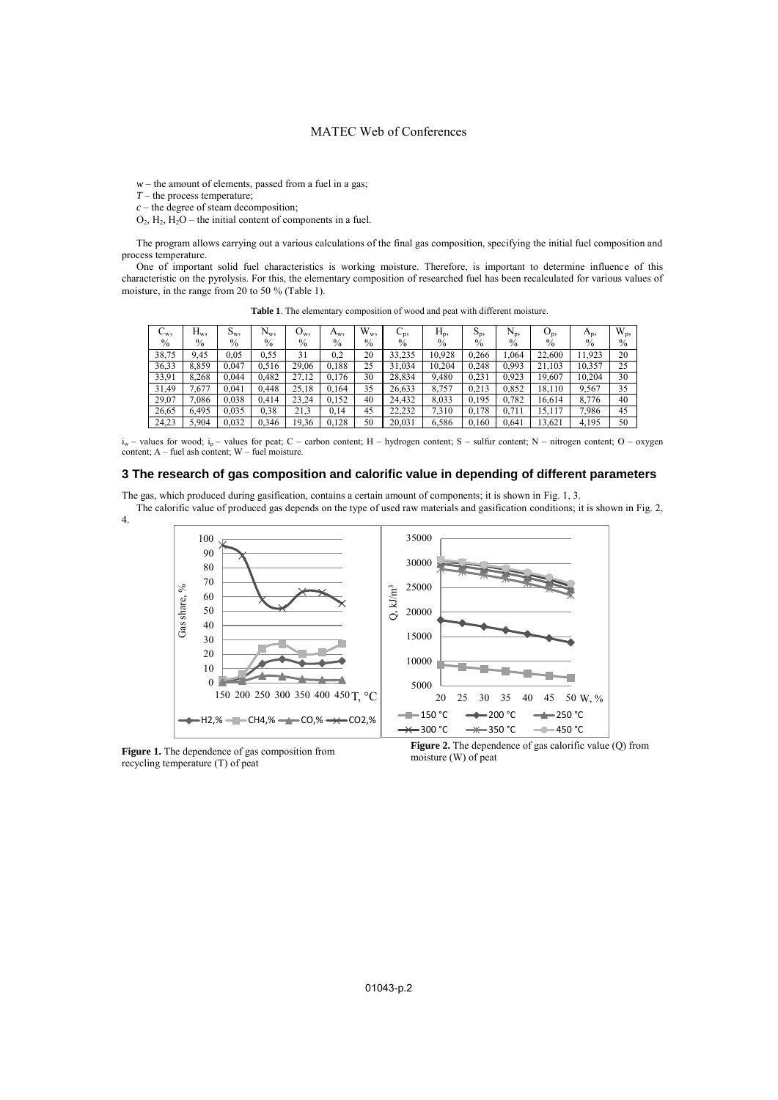$w$  – the amount of elements, passed from a fuel in a gas;

 $T$  – the process temperature:

*c* – the degree of steam decomposition;

 $O_2$ ,  $H_2$ ,  $H_2O$  – the initial content of components in a fuel.

The program allows carrying out a various calculations of the final gas composition, specifying the initial fuel composition and process temperature.

One of important solid fuel characteristics is working moisture. Therefore, is important to determine influence of this characteristic on the pyrolysis. For this, the elementary composition of researched fuel has been recalculated for various values of moisture, in the range from 20 to 50 % (Table 1).

| $\mathsf{C}_{\mathrm{W}},$ | $H_{w}$ | c<br>o <sub>w</sub> , | N.,   | $O_w$ | $A_{w}$  | $W_{w}$ | $\cup_{p_2}$ | H <sub>p</sub> , | Op,   | $N_p$ | $\cup_p$ | A <sub>p</sub> | $W_p$ |
|----------------------------|---------|-----------------------|-------|-------|----------|---------|--------------|------------------|-------|-------|----------|----------------|-------|
| $\%$                       | $\%$    | $\%$                  | $\%$  | $\%$  | $\%$     | $\%$    | $\%$         | $\%$             | $\%$  | $\%$  | $\%$     | $\%$           | $\%$  |
| 38,75                      | 9.45    | 0.05                  | 0,55  | 31    | $_{0.2}$ | 20      | 33.235       | 10.928           | 0.266 | .064  | 22.600   | 11.923         | 20    |
| 36,33                      | 8,859   | 0.047                 | 0,516 | 29,06 | 0,188    | 25      | 31,034       | 10,204           | 0.248 | 0,993 | 21.103   | 10,357         | 25    |
| 33,91                      | 8.268   | 0.044                 | 0,482 | 27,12 | 0.176    | 30      | 28,834       | 9,480            | 0.231 | 0,923 | 19,607   | 10,204         | 30    |
| 31,49                      | ,677    | 0.041                 | 0.448 | 25,18 | 0,164    | 35      | 26,633       | 8,757            | 0.213 | 0,852 | 18,110   | 9,567          | 35    |
| 29,07                      | 086     | 0.038                 | 0.414 | 23.24 | 0,152    | 40      | 24.432       | 8,033            | 0.195 | 0,782 | 16,614   | 8,776          | 40    |
| 26,65                      | 6.495   | 0.035                 | 0,38  | 21,3  | 0.14     | 45      | 22,232       | 7,310            | 0.178 | 0.711 | 15.117   | 7,986          | 45    |
| 24,23                      | ,904    | 0,032                 | 0,346 | 19,36 | 0,128    | 50      | 20,031       | 6,586            | 0,160 | 0.641 | 13,621   | 4,195          | 50    |

**Table 1**. The elementary composition of wood and peat with different moisture.

 $i_w$  – values for wood;  $i_p$  – values for peat; C – carbon content; H – hydrogen content; S – sulfur content; N – nitrogen content; O – oxygen content; А – fuel ash content; W – fuel moisture.

#### **3 The research of gas composition and calorific value in depending of different parameters**

The gas, which produced during gasification, contains a certain amount of components; it is shown in Fig. 1, 3. The calorific value of produced gas depends on the type of used raw materials and gasification conditions; it is shown in Fig. 2,

4.



**Figure 1.** The dependence of gas composition from recycling temperature (T) of peat

**Figure 2.** The dependence of gas calorific value (Q) from moisture (W) of peat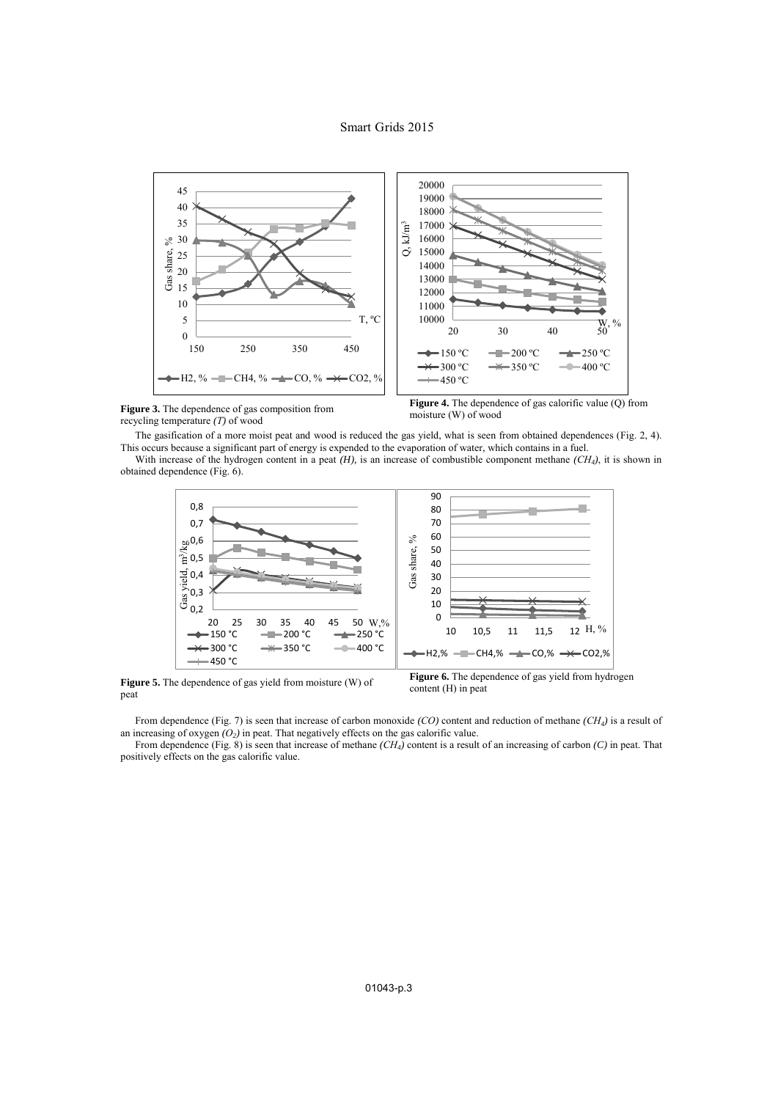Smart Grids 2015





**Figure 3.** The dependence of gas composition from recycling temperature *(Т)* of wood

**Figure 4.** The dependence of gas calorific value (Q) from moisture (W) of wood

The gasification of a more moist peat and wood is reduced the gas yield, what is seen from obtained dependences (Fig. 2, 4). This occurs because a significant part of energy is expended to the evaporation of water, which contains in a fuel.

With increase of the hydrogen content in a peat *(H),* is an increase of combustible component methane *(СН4)*, it is shown in obtained dependence (Fig. 6).



**Figure 5.** The dependence of gas yield from moisture (W) of peat

**Figure 6.** The dependence of gas yield from hydrogen content (H) in peat

From dependence (Fig. 7) is seen that increase of carbon monoxide *(СО)* content and reduction of methane *(СН4)* is a result of an increasing of oxygen *(О2)* in peat. That negatively effects on the gas calorific value.

From dependence (Fig. 8) is seen that increase of methane *(СН4)* content is a result of an increasing of carbon *(C)* in peat. That positively effects on the gas calorific value.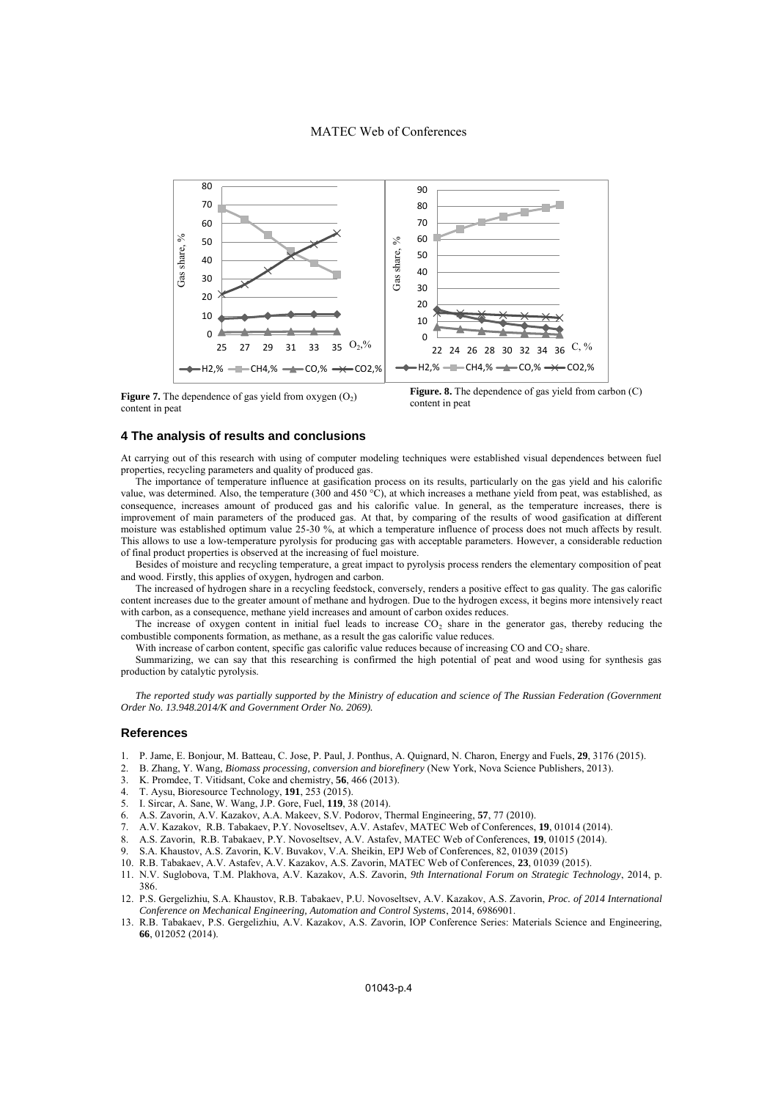

**Figure 7.** The dependence of gas yield from oxygen  $(O_2)$ content in peat

**Figure. 8.** The dependence of gas yield from carbon (C) content in peat

## **4 The analysis of results and conclusions**

At carrying out of this research with using of computer modeling techniques were established visual dependences between fuel properties, recycling parameters and quality of produced gas.

The importance of temperature influence at gasification process on its results, particularly on the gas yield and his calorific value, was determined. Also, the temperature (300 and 450 °C), at which increases a methane yield from peat, was established, as consequence, increases amount of produced gas and his calorific value. In general, as the temperature increases, there is improvement of main parameters of the produced gas. At that, by comparing of the results of wood gasification at different moisture was established optimum value 25-30 %, at which a temperature influence of process does not much affects by result. This allows to use a low-temperature pyrolysis for producing gas with acceptable parameters. However, a considerable reduction of final product properties is observed at the increasing of fuel moisture.

Besides of moisture and recycling temperature, a great impact to pyrolysis process renders the elementary composition of peat and wood. Firstly, this applies of oxygen, hydrogen and carbon.

The increased of hydrogen share in a recycling feedstock, conversely, renders a positive effect to gas quality. The gas calorific content increases due to the greater amount of methane and hydrogen. Due to the hydrogen excess, it begins more intensively react with carbon, as a consequence, methane yield increases and amount of carbon oxides reduces.

The increase of oxygen content in initial fuel leads to increase  $CO<sub>2</sub>$  share in the generator gas, thereby reducing the combustible components formation, as methane, as a result the gas calorific value reduces.

With increase of carbon content, specific gas calorific value reduces because of increasing CO and  $CO<sub>2</sub>$  share.

Summarizing, we can say that this researching is confirmed the high potential of peat and wood using for synthesis gas production by catalytic pyrolysis.

*The reported study was partially supported by the Ministry of education and science of The Russian Federation (Government Order No. 13.948.2014/K and Government Order No. 2069).* 

## **References**

- 1. P. Jame, E. Bonjour, M. Batteau, C. Jose, P. Paul, J. Ponthus, A. Quignard, N. Charon, Energy and Fuels, **29**, 3176 (2015).
- 2. B. Zhang, Y. Wang, *Biomass processing, conversion and biorefinery* (New York, Nova Science Publishers, 2013).
- 3. K. Promdee, T. Vitidsant, Coke and chemistry, **56**, 466 (2013).
- 4. T. Aysu, Bioresource Technology, **191**, 253 (2015).
- 5. I. Sircar, A. Sane, W. Wang, J.P. Gore, Fuel, **119**, 38 (2014).
- 6. A.S. Zavorin, A.V. Kazakov, A.A. Makeev, S.V. Podorov, Thermal Engineering, **57**, 77 (2010).
- 7. A.V. Kazakov, R.B. Tabakaev, P.Y. Novoseltsev, A.V. Astafev, MATEC Web of Conferences, **19**, 01014 (2014).
- 8. A.S. Zavorin, R.B. Tabakaev, P.Y. Novoseltsev, A.V. Astafev, MATEC Web of Conferences, **19**, 01015 (2014).
- 9. S.A. Khaustov, A.S. Zavorin, K.V. Buvakov, V.A. Sheikin, EPJ Web of Conferences, 82, 01039 (2015)
- 10. R.B. Tabakaev, A.V. Astafev, A.V. Kazakov, A.S. Zavorin, MATEC Web of Conferences, **23**, 01039 (2015).
- 11. N.V. Suglobova, T.M. Plakhova, A.V. Kazakov, A.S. Zavorin, *9th International Forum on Strategic Technology*, 2014, p. 386.
- 12. P.S. Gergelizhiu, S.A. Khaustov, R.B. Tabakaev, P.U. Novoseltsev, A.V. Kazakov, A.S. Zavorin, *Proc. of 2014 International Conference on Mechanical Engineering, Automation and Control Systems*, 2014, 6986901.
- 13. R.B. Tabakaev, P.S. Gergelizhiu, A.V. Kazakov, A.S. Zavorin, IOP Conference Series: Materials Science and Engineering, **66**, 012052 (2014).